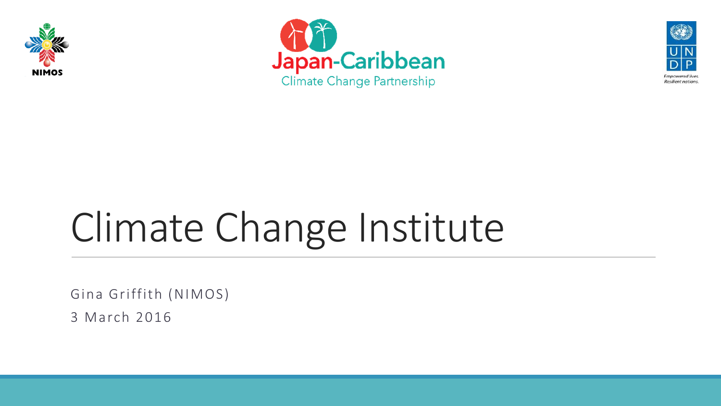





# Climate Change Institute

Gina Griffith (NIMOS)

3 March 2016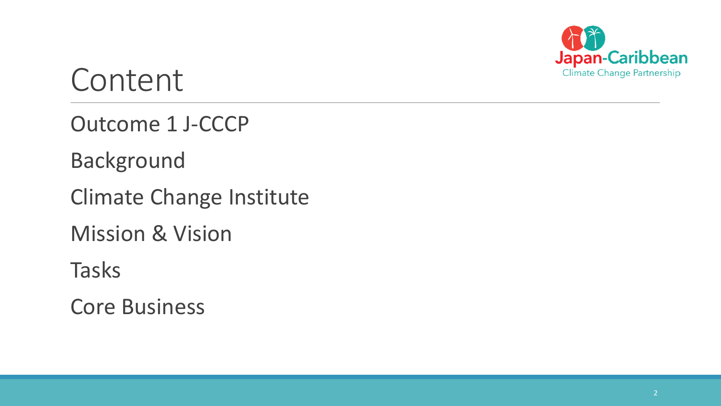

#### Content

Outcome 1 J-CCCP

Background

Climate Change Institute

Mission & Vision

Tasks

Core Business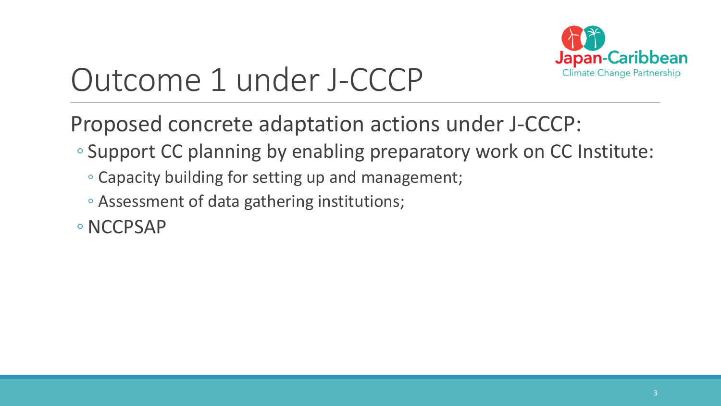

## Outcome 1 under J-CCCP

Proposed concrete adaptation actions under J-CCCP:

- Support CC planning by enabling preparatory work on CC Institute:
	- Capacity building for setting up and management;
	- Assessment of data gathering institutions;
- ◦NCCPSAP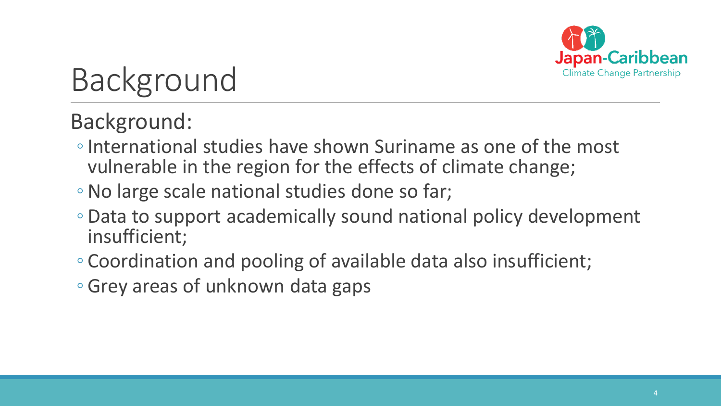

## Background

#### Background:

- ◦International studies have shown Suriname as one of the most vulnerable in the region for the effects of climate change;
- ◦No large scale national studies done so far;
- Data to support academically sound national policy development insufficient;
- Coordination and pooling of available data also insufficient;
- Grey areas of unknown data gaps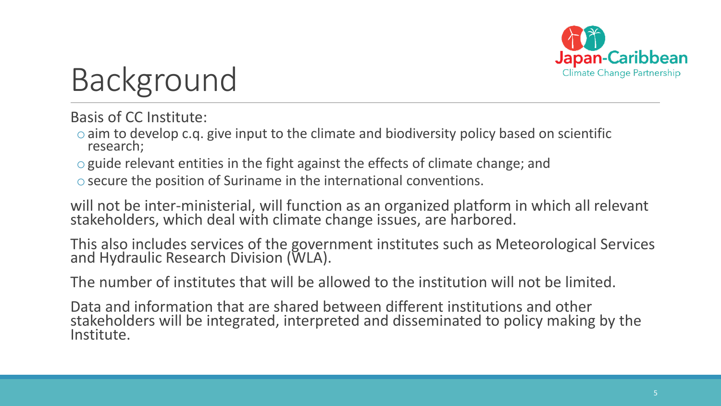

## Background

Basis of CC Institute:

 $\circ$  aim to develop c.g. give input to the climate and biodiversity policy based on scientific research;

oguide relevant entities in the fight against the effects of climate change; and

osecure the position of Suriname in the international conventions.

will not be inter-ministerial, will function as an organized platform in which all relevant stakeholders, which deal with climate change issues, are harbored.

This also includes services of the government institutes such as Meteorological Services and Hydraulic Research Division (WLA).

The number of institutes that will be allowed to the institution will not be limited.

Data and information that are shared between different institutions and other stakeholders will be integrated, interpreted and disseminated to policy making by the Institute.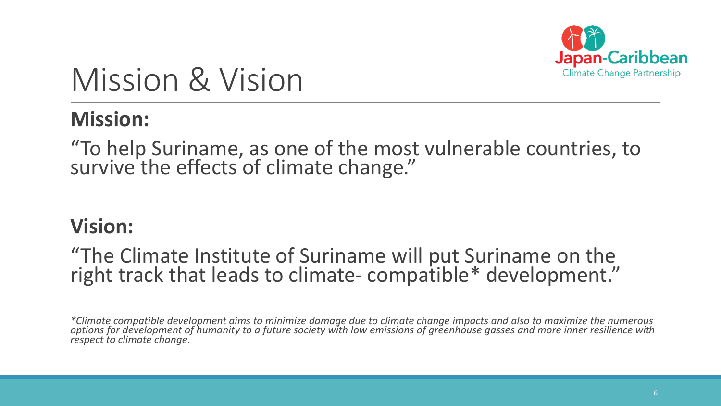

### Mission & Vision

#### **Mission:**

"To help Suriname, as one of the most vulnerable countries, to survive the effects of climate change."

#### **Vision:**

#### "The Climate Institute of Suriname will put Suriname on the right track that leads to climate- compatible\* development."

*\*Climate compatible development aims to minimize damage due to climate change impacts and also to maximize the numerous options for development of humanity to a future society with low emissions of greenhouse gasses and more inner resilience with respect to climate change.*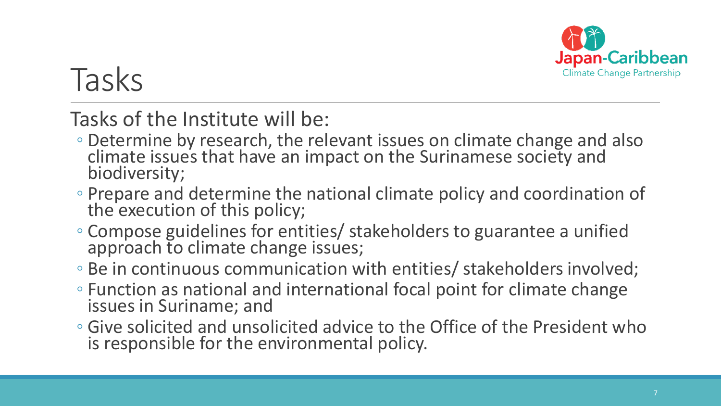

## Tasks

#### Tasks of the Institute will be:

- Determine by research, the relevant issues on climate change and also climate issues that have an impact on the Surinamese society and biodiversity;
- Prepare and determine the national climate policy and coordination of the execution of this policy;
- Compose guidelines for entities/ stakeholders to guarantee a unified approach to climate change issues;
- Be in continuous communication with entities/ stakeholders involved;
- Function as national and international focal point for climate change issues in Suriname; and
- Give solicited and unsolicited advice to the Office of the President who is responsible for the environmental policy.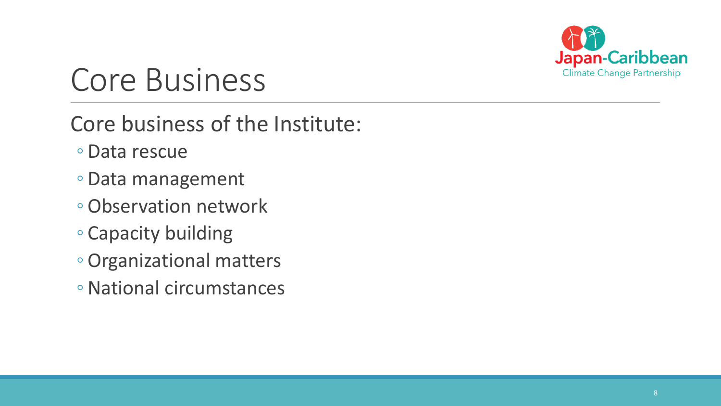

Core business of the Institute:

- Data rescue
- Data management
- ◦Observation network
- Capacity building
- ◦Organizational matters
- ◦National circumstances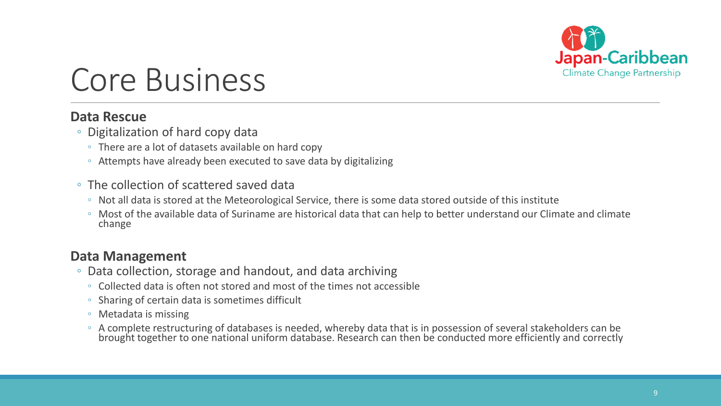

#### **Data Rescue**

- Digitalization of hard copy data
	- There are a lot of datasets available on hard copy
	- Attempts have already been executed to save data by digitalizing
- The collection of scattered saved data
	- Not all data is stored at the Meteorological Service, there is some data stored outside of this institute
	- Most of the available data of Suriname are historical data that can help to better understand our Climate and climate change

#### **Data Management**

- Data collection, storage and handout, and data archiving
	- Collected data is often not stored and most of the times not accessible
	- Sharing of certain data is sometimes difficult
	- Metadata is missing
	- A complete restructuring of databases is needed, whereby data that is in possession of several stakeholders can be brought together to one national uniform database. Research can then be conducted more efficiently and correctly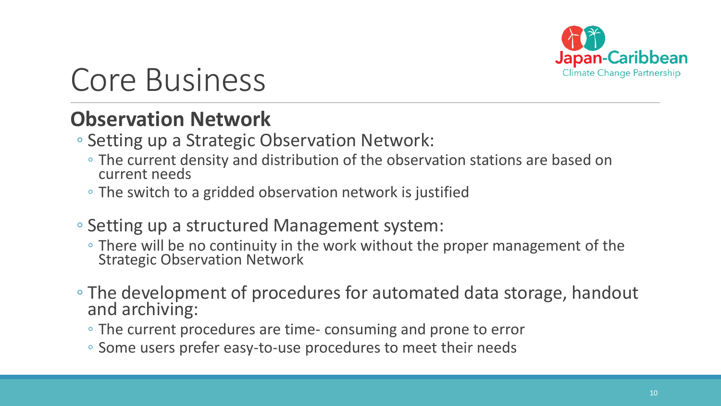

#### **Observation Network**

- Setting up a Strategic Observation Network:
	- The current density and distribution of the observation stations are based on current needs
	- The switch to a gridded observation network is justified
- Setting up a structured Management system:
	- There will be no continuity in the work without the proper management of the Strategic Observation Network
- The development of procedures for automated data storage, handout and archiving:
	- The current procedures are time- consuming and prone to error
	- Some users prefer easy-to-use procedures to meet their needs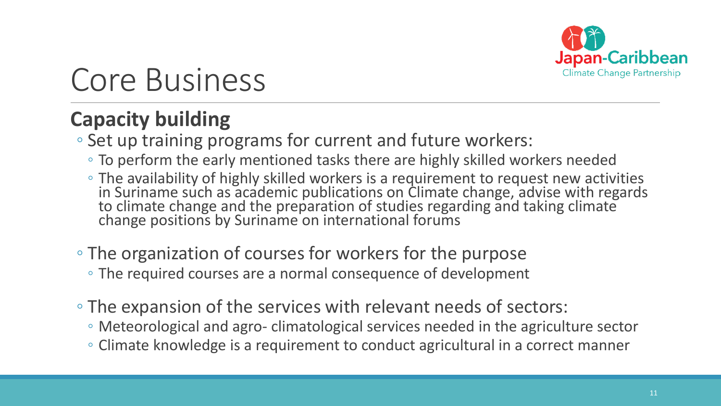

#### **Capacity building**

◦ Set up training programs for current and future workers:

- To perform the early mentioned tasks there are highly skilled workers needed
- The availability of highly skilled workers is a requirement to request new activities in Suriname such as academic publications on Climate change, advise with regards to climate change and the preparation of studies regarding and taking climate change positions by Suriname on international forums
- The organization of courses for workers for the purpose
	- The required courses are a normal consequence of development
- The expansion of the services with relevant needs of sectors:
	- Meteorological and agro- climatological services needed in the agriculture sector
	- Climate knowledge is a requirement to conduct agricultural in a correct manner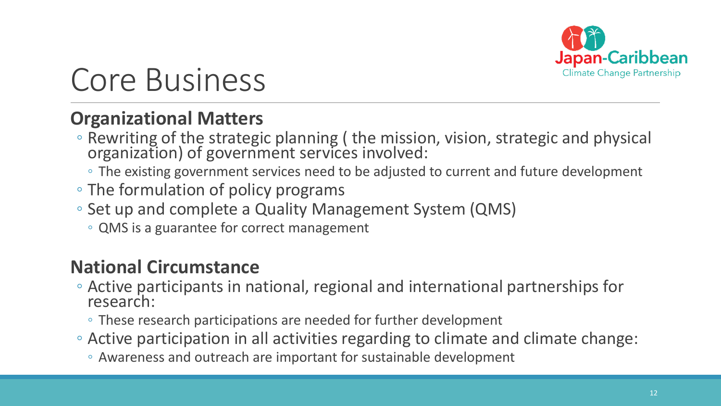

#### **Organizational Matters**

- Rewriting of the strategic planning ( the mission, vision, strategic and physical organization) of government services involved:
	- The existing government services need to be adjusted to current and future development
- The formulation of policy programs
- Set up and complete a Quality Management System (QMS)
	- QMS is a guarantee for correct management

#### **National Circumstance**

- Active participants in national, regional and international partnerships for research:
	- These research participations are needed for further development
- Active participation in all activities regarding to climate and climate change:
	- Awareness and outreach are important for sustainable development